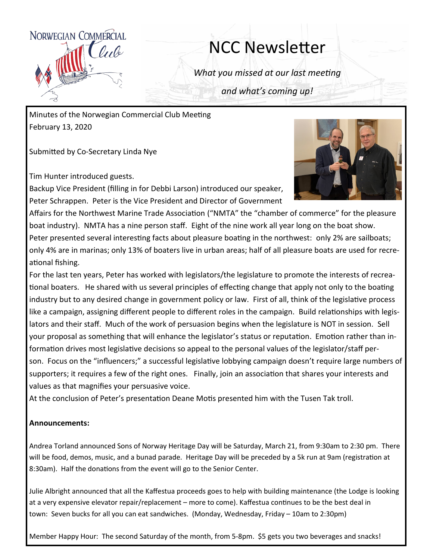

## NCC Newsletter

*What you missed at our last meeting*

*and what's coming up!*

Minutes of the Norwegian Commercial Club Meeting February 13, 2020

Submitted by Co-Secretary Linda Nye

Tim Hunter introduced guests.

Backup Vice President (filling in for Debbi Larson) introduced our speaker, Peter Schrappen. Peter is the Vice President and Director of Government



Affairs for the Northwest Marine Trade Association ("NMTA" the "chamber of commerce" for the pleasure boat industry). NMTA has a nine person staff. Eight of the nine work all year long on the boat show. Peter presented several interesting facts about pleasure boating in the northwest: only 2% are sailboats; only 4% are in marinas; only 13% of boaters live in urban areas; half of all pleasure boats are used for recreational fishing.

For the last ten years, Peter has worked with legislators/the legislature to promote the interests of recreational boaters. He shared with us several principles of effecting change that apply not only to the boating industry but to any desired change in government policy or law. First of all, think of the legislative process like a campaign, assigning different people to different roles in the campaign. Build relationships with legislators and their staff. Much of the work of persuasion begins when the legislature is NOT in session. Sell your proposal as something that will enhance the legislator's status or reputation. Emotion rather than information drives most legislative decisions so appeal to the personal values of the legislator/staff person. Focus on the "influencers;" a successful legislative lobbying campaign doesn't require large numbers of supporters; it requires a few of the right ones. Finally, join an association that shares your interests and values as that magnifies your persuasive voice.

At the conclusion of Peter's presentation Deane Motis presented him with the Tusen Tak troll.

## **Announcements:**

Andrea Torland announced Sons of Norway Heritage Day will be Saturday, March 21, from 9:30am to 2:30 pm. There will be food, demos, music, and a bunad parade. Heritage Day will be preceded by a 5k run at 9am (registration at 8:30am). Half the donations from the event will go to the Senior Center.

Julie Albright announced that all the Kaffestua proceeds goes to help with building maintenance (the Lodge is looking at a very expensive elevator repair/replacement – more to come). Kaffestua continues to be the best deal in town: Seven bucks for all you can eat sandwiches. (Monday, Wednesday, Friday – 10am to 2:30pm)

Member Happy Hour: The second Saturday of the month, from 5-8pm. \$5 gets you two beverages and snacks!